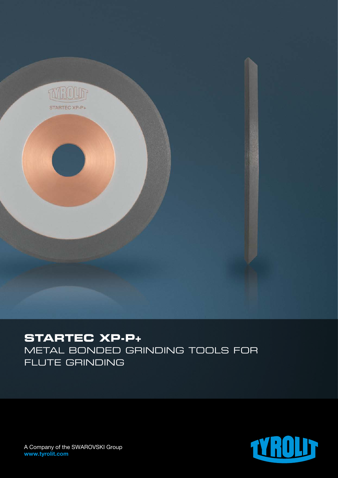

## **STARTEC XP-P+**

METAL BONDED GRINDING TOOLS FOR FLUTE GRINDING



A Company of the SWAROVSKI Group www.tyrolit.com